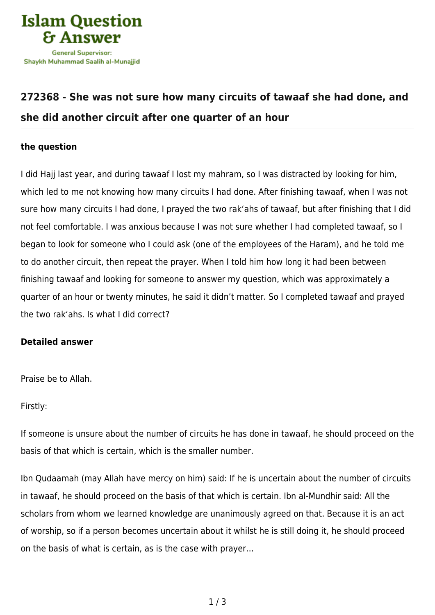

## **[272368 - She was not sure how many circuits of tawaaf she had done, and](https://islamqa.com/en/answers/272368/she-was-not-sure-how-many-circuits-of-tawaaf-she-had-done-and-she-did-another-circuit-after-one-quarter-of-an-hour) [she did another circuit after one quarter of an hour](https://islamqa.com/en/answers/272368/she-was-not-sure-how-many-circuits-of-tawaaf-she-had-done-and-she-did-another-circuit-after-one-quarter-of-an-hour)**

## **the question**

I did Hajj last year, and during tawaaf I lost my mahram, so I was distracted by looking for him, which led to me not knowing how many circuits I had done. After finishing tawaaf, when I was not sure how many circuits I had done, I prayed the two rak'ahs of tawaaf, but after finishing that I did not feel comfortable. I was anxious because I was not sure whether I had completed tawaaf, so I began to look for someone who I could ask (one of the employees of the Haram), and he told me to do another circuit, then repeat the prayer. When I told him how long it had been between finishing tawaaf and looking for someone to answer my question, which was approximately a quarter of an hour or twenty minutes, he said it didn't matter. So I completed tawaaf and prayed the two rak'ahs. Is what I did correct?

## **Detailed answer**

Praise be to Allah.

Firstly:

If someone is unsure about the number of circuits he has done in tawaaf, he should proceed on the basis of that which is certain, which is the smaller number.

Ibn Qudaamah (may Allah have mercy on him) said: If he is uncertain about the number of circuits in tawaaf, he should proceed on the basis of that which is certain. Ibn al-Mundhir said: All the scholars from whom we learned knowledge are unanimously agreed on that. Because it is an act of worship, so if a person becomes uncertain about it whilst he is still doing it, he should proceed on the basis of what is certain, as is the case with prayer…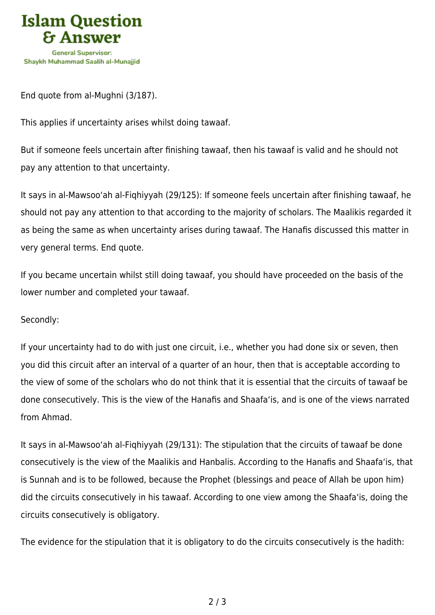

End quote from al-Mughni (3/187).

This applies if uncertainty arises whilst doing tawaaf.

But if someone feels uncertain after finishing tawaaf, then his tawaaf is valid and he should not pay any attention to that uncertainty.

It says in al-Mawsoo'ah al-Fiqhiyyah (29/125): If someone feels uncertain after finishing tawaaf, he should not pay any attention to that according to the majority of scholars. The Maalikis regarded it as being the same as when uncertainty arises during tawaaf. The Hanafis discussed this matter in very general terms. End quote.

If you became uncertain whilst still doing tawaaf, you should have proceeded on the basis of the lower number and completed your tawaaf.

## Secondly:

If your uncertainty had to do with just one circuit, i.e., whether you had done six or seven, then you did this circuit after an interval of a quarter of an hour, then that is acceptable according to the view of some of the scholars who do not think that it is essential that the circuits of tawaaf be done consecutively. This is the view of the Hanafis and Shaafa'is, and is one of the views narrated from Ahmad.

It says in al-Mawsoo'ah al-Fiqhiyyah (29/131): The stipulation that the circuits of tawaaf be done consecutively is the view of the Maalikis and Hanbalis. According to the Hanafis and Shaafa'is, that is Sunnah and is to be followed, because the Prophet (blessings and peace of Allah be upon him) did the circuits consecutively in his tawaaf. According to one view among the Shaafa'is, doing the circuits consecutively is obligatory.

The evidence for the stipulation that it is obligatory to do the circuits consecutively is the hadith: